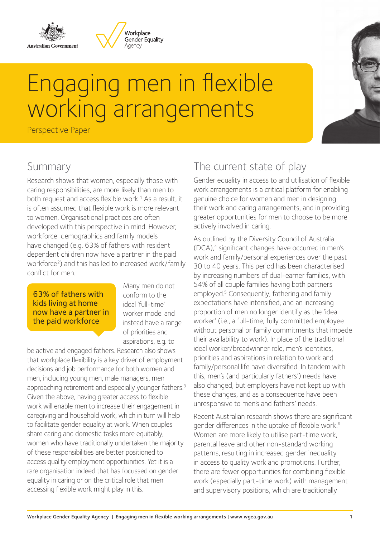



# Engaging men in flexible working arrangements

Perspective Paper

## Summary

Research shows that women, especially those with caring responsibilities, are more likely than men to both request and access flexible work.<sup>1</sup> As a result, it is often assumed that flexible work is more relevant to women. Organisational practices are often developed with this perspective in mind. However, workforce demographics and family models have changed (e.g. 63% of fathers with resident dependent children now have a partner in the paid workforce<sup>2</sup>) and this has led to increased work/family conflict for men.

63% of fathers with kids living at home now have a partner in the paid workforce

Many men do not conform to the ideal 'full-time' worker model and instead have a range of priorities and aspirations, e.g. to

be active and engaged fathers. Research also shows that workplace flexibility is a key driver of employment decisions and job performance for both women and men, including young men, male managers, men approaching retirement and especially younger fathers.<sup>3</sup> Given the above, having greater access to flexible work will enable men to increase their engagement in caregiving and household work, which in turn will help to facilitate gender equality at work. When couples share caring and domestic tasks more equitably, women who have traditionally undertaken the majority of these responsibilities are better positioned to access quality employment opportunities. Yet it is a rare organisation indeed that has focussed on gender equality in caring or on the critical role that men accessing flexible work might play in this.

## The current state of play

Gender equality in access to and utilisation of flexible work arrangements is a critical platform for enabling genuine choice for women and men in designing their work and caring arrangements, and in providing greater opportunities for men to choose to be more actively involved in caring.

As outlined by the Diversity Council of Australia (DCA),4 significant changes have occurred in men's work and family/personal experiences over the past 30 to 40 years. This period has been characterised by increasing numbers of dual-earner families, with 54% of all couple families having both partners employed.<sup>5</sup> Consequently, fathering and family expectations have intensified, and an increasing proportion of men no longer identify as the 'ideal worker' (i.e., a full-time, fully committed employee without personal or family commitments that impede their availability to work). In place of the traditional ideal worker/breadwinner role, men's identities, priorities and aspirations in relation to work and family/personal life have diversified. In tandem with this, men's (and particularly fathers') needs have also changed, but employers have not kept up with these changes, and as a consequence have been unresponsive to men's and fathers' needs.

Recent Australian research shows there are significant gender differences in the uptake of flexible work.<sup>6</sup> Women are more likely to utilise part-time work, parental leave and other non-standard working patterns, resulting in increased gender inequality in access to quality work and promotions. Further, there are fewer opportunities for combining flexible work (especially part-time work) with management and supervisory positions, which are traditionally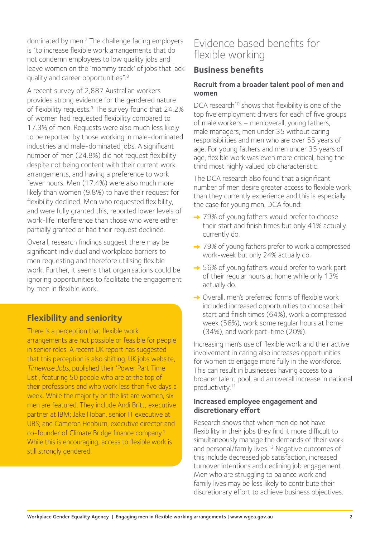dominated by men.7 The challenge facing employers is "to increase flexible work arrangements that do not condemn employees to low quality jobs and leave women on the 'mommy track' of jobs that lack quality and career opportunities".8

A recent survey of 2,887 Australian workers provides strong evidence for the gendered nature of flexibility requests.<sup>9</sup> The survey found that 24.2% of women had requested flexibility compared to 17.3% of men. Requests were also much less likely to be reported by those working in male-dominated industries and male-dominated jobs. A significant number of men (24.8%) did not request flexibility despite not being content with their current work arrangements, and having a preference to work fewer hours. Men (17.4%) were also much more likely than women (9.8%) to have their request for flexibility declined. Men who requested flexibility, and were fully granted this, reported lower levels of work-life interference than those who were either partially granted or had their request declined.

Overall, research findings suggest there may be significant individual and workplace barriers to men requesting and therefore utilising flexible work. Further, it seems that organisations could be ignoring opportunities to facilitate the engagement by men in flexible work.

#### **Flexibility and seniority**

There is a perception that flexible work arrangements are not possible or feasible for people in senior roles. A recent UK report has suggested that this perception is also shifting. UK jobs website, Timewise Jobs, published their 'Power Part Time List', featuring 50 people who are at the top of their professions and who work less than five days a week. While the majority on the list are women, six men are featured. They include Andi Britt, executive partner at IBM; Jake Hoban, senior IT executive at UBS; and Cameron Hepburn, executive director and co-founder of Climate Bridge finance company.1 While this is encouraging, access to flexible work is still strongly gendered.

## Evidence based benefits for flexible working

#### **Business benefits**

#### **Recruit from a broader talent pool of men and women**

DCA research<sup>10</sup> shows that flexibility is one of the top five employment drivers for each of five groups of male workers – men overall, young fathers, male managers, men under 35 without caring responsibilities and men who are over 55 years of age. For young fathers and men under 35 years of age, flexible work was even more critical, being the third most highly valued job characteristic.

The DCA research also found that a significant number of men desire greater access to flexible work than they currently experience and this is especially the case for young men. DCA found:

- **→ 79% of young fathers would prefer to choose** their start and finish times but only 41% actually currently do.
- **→ 79% of young fathers prefer to work a compressed** work-week but only 24% actually do.
- → 56% of young fathers would prefer to work part of their regular hours at home while only 13% actually do.
- **→** Overall, men's preferred forms of flexible work included increased opportunities to choose their start and finish times (64%), work a compressed week (56%), work some regular hours at home (34%), and work part-time (20%).

Increasing men's use of flexible work and their active involvement in caring also increases opportunities for women to engage more fully in the workforce. This can result in businesses having access to a broader talent pool, and an overall increase in national productivity.11

#### **Increased employee engagement and discretionary effort**

Research shows that when men do not have flexibility in their jobs they find it more difficult to simultaneously manage the demands of their work and personal/family lives.<sup>12</sup> Negative outcomes of this include decreased job satisfaction, increased turnover intentions and declining job engagement. Men who are struggling to balance work and family lives may be less likely to contribute their discretionary effort to achieve business objectives.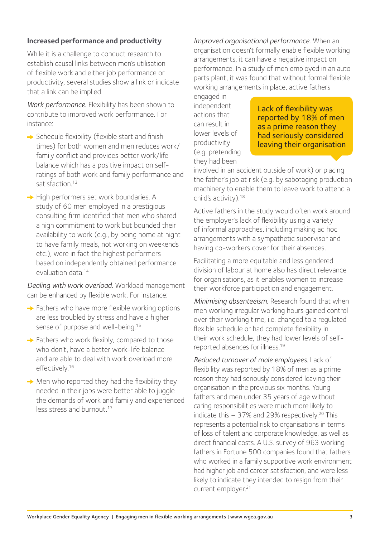#### **Increased performance and productivity**

While it is a challenge to conduct research to establish causal links between men's utilisation of flexible work and either job performance or productivity, several studies show a link or indicate that a link can be implied.

*Work performance.* Flexibility has been shown to contribute to improved work performance. For instance:

- $\rightarrow$  Schedule flexibility (flexible start and finish times) for both women and men reduces work/ family conflict and provides better work/life balance which has a positive impact on selfratings of both work and family performance and satisfaction.<sup>13</sup>
- $\rightarrow$  High performers set work boundaries. A study of 60 men employed in a prestigious consulting firm identified that men who shared a high commitment to work but bounded their availability to work (e.g., by being home at night to have family meals, not working on weekends etc.), were in fact the highest performers based on independently obtained performance evaluation data<sup>14</sup>

*Dealing with work overload.* Workload management can be enhanced by flexible work. For instance:

- $\rightarrow$  Fathers who have more flexible working options are less troubled by stress and have a higher sense of purpose and well-being.<sup>15</sup>
- → Fathers who work flexibly, compared to those who don't, have a better work-life balance and are able to deal with work overload more effectively.<sup>16</sup>
- $\rightarrow$  Men who reported they had the flexibility they needed in their jobs were better able to juggle the demands of work and family and experienced less stress and burnout.<sup>17</sup>

*Improved organisational performance.* When an organisation doesn't formally enable flexible working arrangements, it can have a negative impact on performance. In a study of men employed in an auto parts plant, it was found that without formal flexible working arrangements in place, active fathers

engaged in independent actions that can result in lower levels of productivity (e.g. pretending they had been

Lack of flexibility was reported by 18% of men as a prime reason they had seriously considered leaving their organisation

involved in an accident outside of work) or placing the father's job at risk (e.g. by sabotaging production machinery to enable them to leave work to attend a child's activity).18

Active fathers in the study would often work around the employer's lack of flexibility using a variety of informal approaches, including making ad hoc arrangements with a sympathetic supervisor and having co-workers cover for their absences.

Facilitating a more equitable and less gendered division of labour at home also has direct relevance for organisations, as it enables women to increase their workforce participation and engagement.

*Minimising absenteeism.* Research found that when men working irregular working hours gained control over their working time, i.e. changed to a regulated flexible schedule or had complete flexibility in their work schedule, they had lower levels of selfreported absences for illness.19

*Reduced turnover of male employees*. Lack of flexibility was reported by 18% of men as a prime reason they had seriously considered leaving their organisation in the previous six months. Young fathers and men under 35 years of age without caring responsibilities were much more likely to indicate this  $-37%$  and 29% respectively.<sup>20</sup> This represents a potential risk to organisations in terms of loss of talent and corporate knowledge, as well as direct financial costs. A U.S. survey of 963 working fathers in Fortune 500 companies found that fathers who worked in a family supportive work environment had higher job and career satisfaction, and were less likely to indicate they intended to resign from their current employer.<sup>21</sup>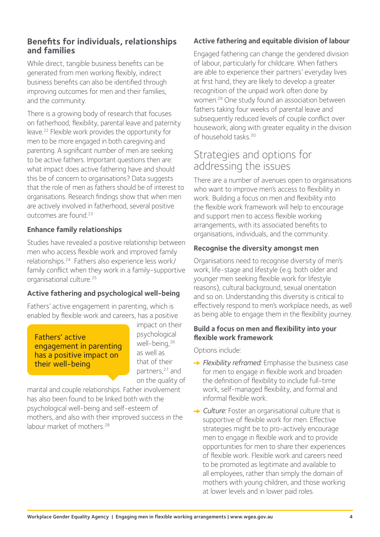#### **Benefits for individuals, relationships and families**

While direct, tangible business benefits can be generated from men working flexibly, indirect business benefits can also be identified through improving outcomes for men and their families, and the community.

There is a growing body of research that focuses on fatherhood, flexibility, parental leave and paternity leave.22 Flexible work provides the opportunity for men to be more engaged in both caregiving and parenting. A significant number of men are seeking to be active fathers. Important questions then are: what impact does active fathering have and should this be of concern to organisations? Data suggests that the role of men as fathers should be of interest to organisations. Research findings show that when men are actively involved in fatherhood, several positive outcomes are found.23

#### **Enhance family relationships**

Studies have revealed a positive relationship between men who access flexible work and improved family relationships.24 Fathers also experience less work/ family conflict when they work in a family-supportive organisational culture.25

#### **Active fathering and psychological well-being**

Fathers' active engagement in parenting, which is enabled by flexible work and careers, has a positive

Fathers' active engagement in parenting has a positive impact on their well-being

impact on their psychological well-being,26 as well as that of their partners,<sup>27</sup> and on the quality of

marital and couple relationships. Father involvement has also been found to be linked both with the psychological well-being and self-esteem of mothers, and also with their improved success in the labour market of mothers.<sup>28</sup>

#### **Active fathering and equitable division of labour**

Engaged fathering can change the gendered division of labour, particularly for childcare. When fathers are able to experience their partners' everyday lives at first hand, they are likely to develop a greater recognition of the unpaid work often done by women.29 One study found an association between fathers taking four weeks of parental leave and subsequently reduced levels of couple conflict over housework, along with greater equality in the division of household tasks.30

## Strategies and options for addressing the issues

There are a number of avenues open to organisations who want to improve men's access to flexibility in work. Building a focus on men and flexibility into the flexible work framework will help to encourage and support men to access flexible working arrangements, with its associated benefits to organisations, individuals, and the community.

#### **Recognise the diversity amongst men**

Organisations need to recognise diversity of men's work, life-stage and lifestyle (e.g. both older and younger men seeking flexible work for lifestyle reasons), cultural background, sexual orientation and so on. Understanding this diversity is critical to effectively respond to men's workplace needs, as well as being able to engage them in the flexibility journey.

#### **Build a focus on men and flexibility into your flexible work framework**

Options include:

- **→ Flexibility reframed:** Emphasise the business case for men to engage in flexible work and broaden the definition of flexibility to include full-time work, self-managed flexibility, and formal and informal flexible work.
- **→ Culture:** Foster an organisational culture that is supportive of flexible work for men. Effective strategies might be to pro-actively encourage men to engage in flexible work and to provide opportunities for men to share their experiences of flexible work. Flexible work and careers need to be promoted as legitimate and available to all employees, rather than simply the domain of mothers with young children, and those working at lower levels and in lower paid roles.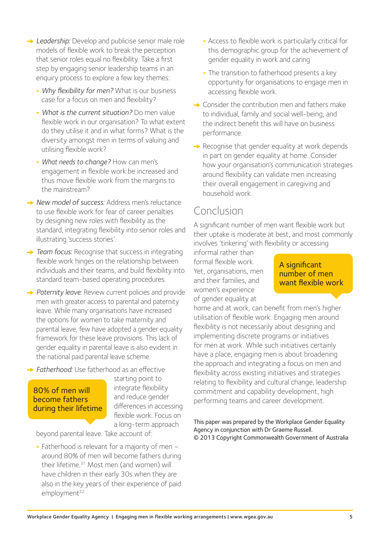- **→ Leadership:** Develop and publicise senior male role models of flexible work to break the perception that senior roles equal no flexibility. Take a first step by engaging senior leadership teams in an enquiry process to explore a few key themes:
	- **•** *Why flexibility for men?* What is our business case for a focus on men and flexibility?
	- **•** *What is the current situation?* Do men value flexible work in our organisation? To what extent do they utilise it and in what forms? What is the diversity amongst men in terms of valuing and utilising flexible work?
	- **•** *What needs to change?* How can men's engagement in flexible work be increased and thus move flexible work from the margins to the mainstream?
- **→ New model of success: Address men's reluctance** to use flexible work for fear of career penalties by designing new roles with flexibility as the standard, integrating flexibility into senior roles and illustrating 'success stories'.
- **→ Team focus:** Recognise that success in integrating flexible work hinges on the relationship between individuals and their teams, and build flexibility into standard team-based operating procedures.
- **→ Paternity leave:** Review current policies and provide men with greater access to parental and paternity leave. While many organisations have increased the options for women to take maternity and parental leave, few have adopted a gender equality framework for these leave provisions. This lack of gender equality in parental leave is also evident in the national paid parental leave scheme.
- **→ Fatherhood:** Use fatherhood as an effective

#### 80% of men will become fathers during their lifetime

starting point to integrate flexibility and reduce gender differences in accessing flexible work. Focus on a long-term approach

beyond parental leave. Take account of:

**•** Fatherhood is relevant for a majority of men – around 80% of men will become fathers during their lifetime.31 Most men (and women) will have children in their early 30s when they are also in the key years of their experience of paid employment<sup>32</sup>

- **•** Access to flexible work is particularly critical for this demographic group for the achievement of gender equality in work and caring
- **•** The transition to fatherhood presents a key opportunity for organisations to engage men in accessing flexible work.
- $\rightarrow$  Consider the contribution men and fathers make to individual, family and social well-being, and the indirect benefit this will have on business performance.
- $\rightarrow$  Recognise that gender equality at work depends in part on gender equality at home. Consider how your organisation's communication strategies around flexibility can validate men increasing their overall engagement in caregiving and household work.

## Conclusion

A significant number of men want flexible work but their uptake is moderate at best, and most commonly involves 'tinkering' with flexibility or accessing

informal rather than formal flexible work. Yet, organisations, men and their families, and women's experience of gender equality at

A significant number of men want flexible work

home and at work, can benefit from men's higher utilisation of flexible work. Engaging men around flexibility is not necessarily about designing and implementing discrete programs or initiatives for men at work. While such initiatives certainly have a place, engaging men is about broadening the approach and integrating a focus on men and flexibility across existing initiatives and strategies relating to flexibility and cultural change, leadership commitment and capability development, high performing teams and career development.

This paper was prepared by the Workplace Gender Equality Agency in conjunction with Dr Graeme Russell. © 2013 Copyright Commonwealth Government of Australia